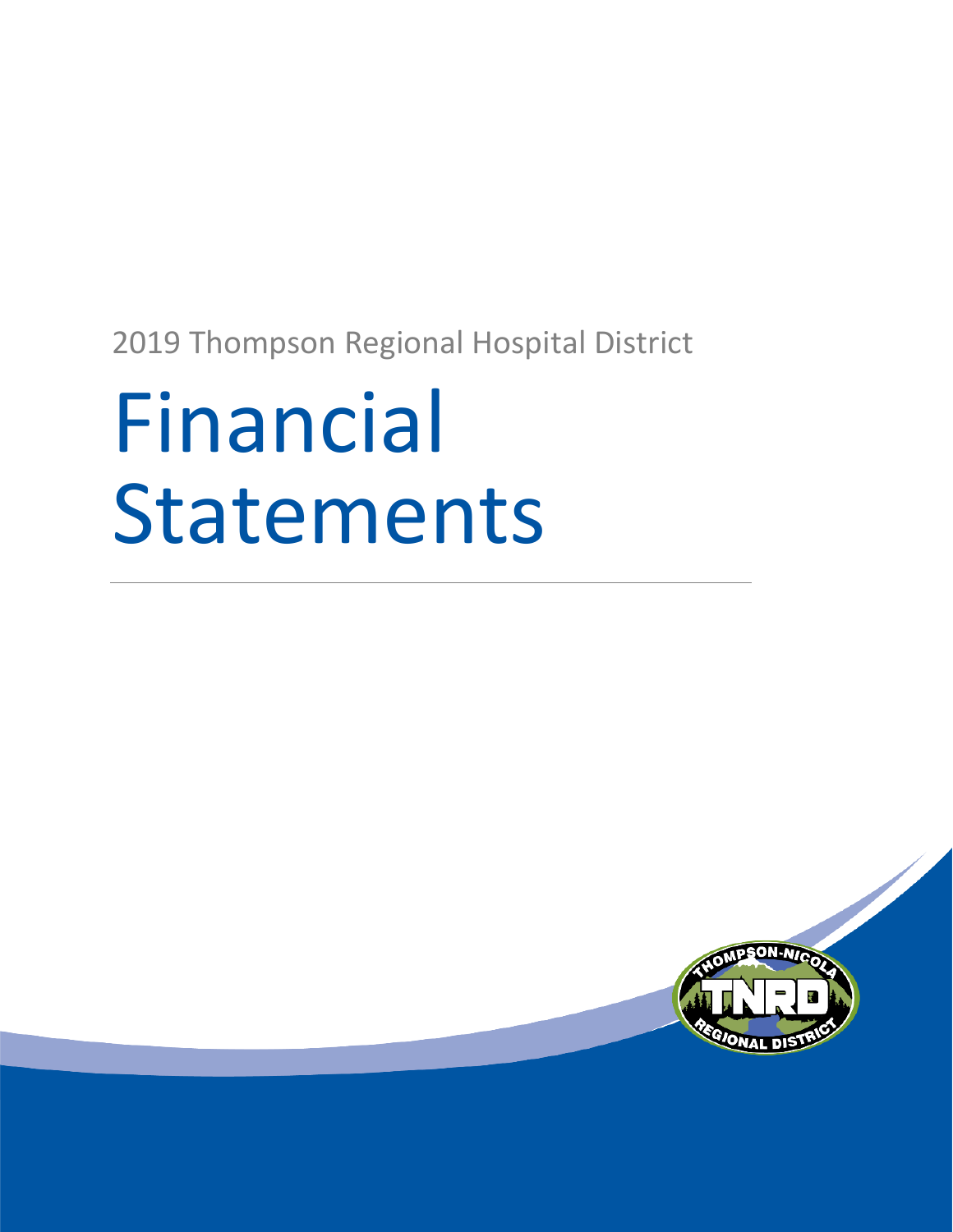# Financial Statements

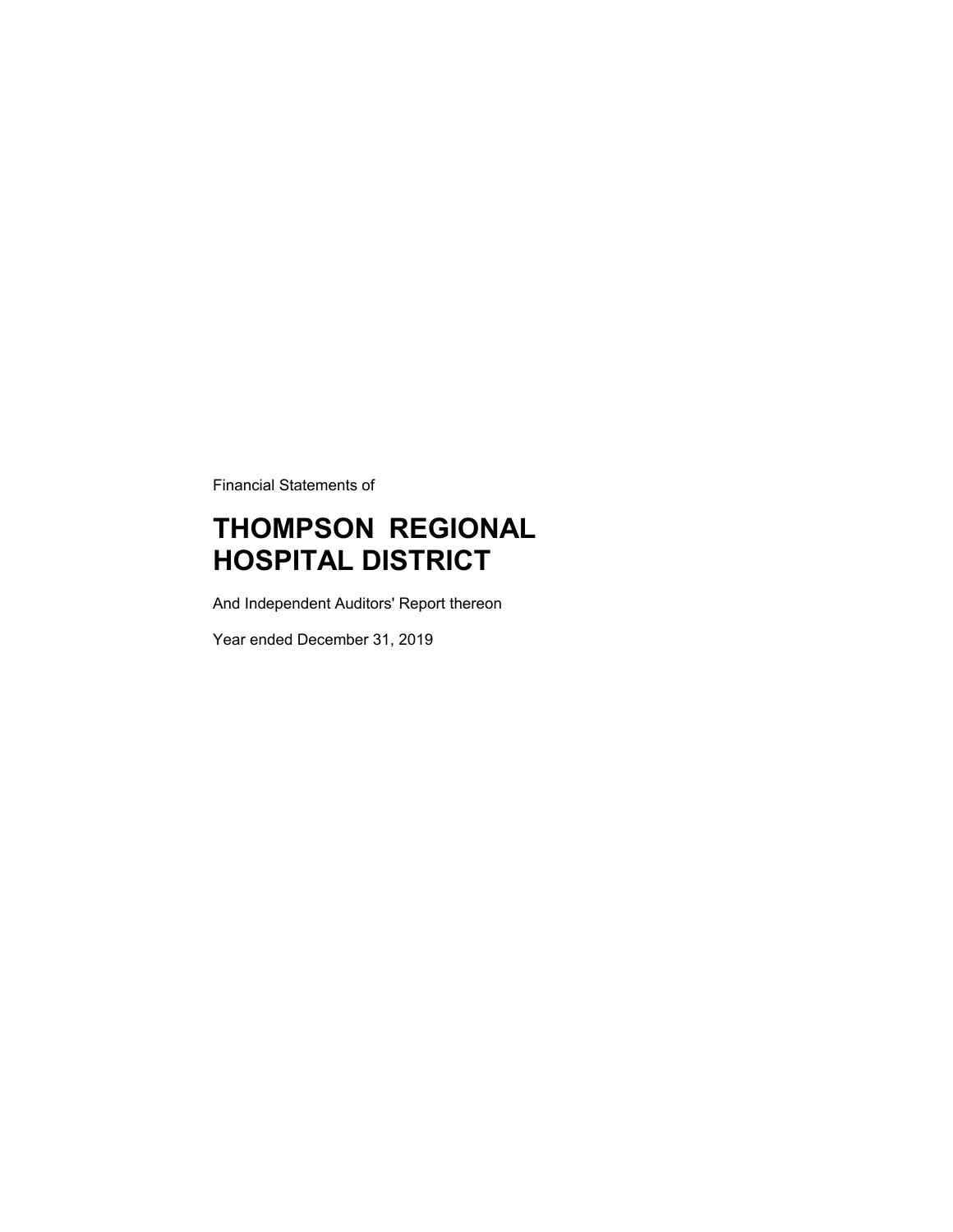Financial Statements of

# **THOMPSON REGIONAL HOSPITAL DISTRICT**

And Independent Auditors' Report thereon

Year ended December 31, 2019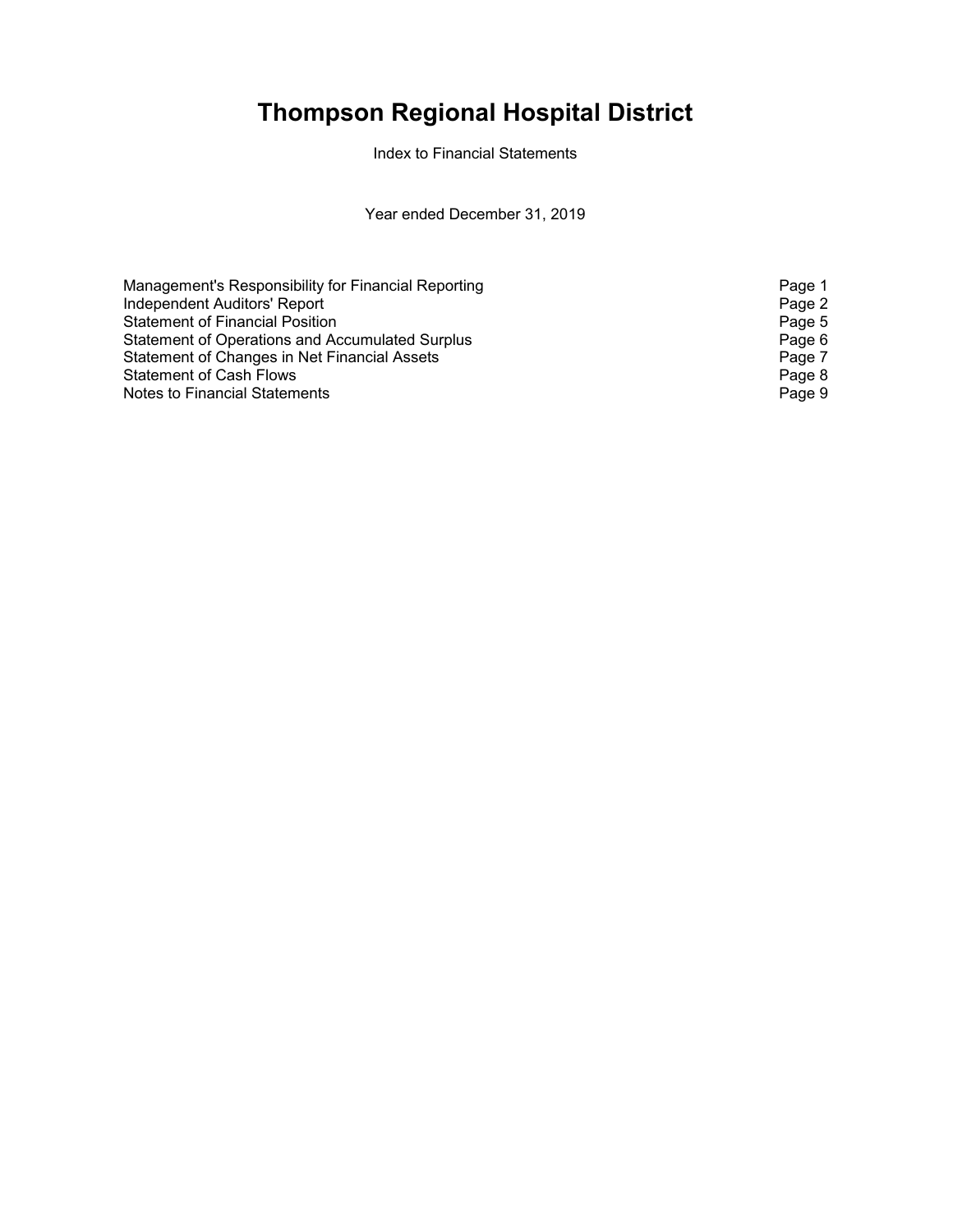Index to Financial Statements

# Year ended December 31, 2019

| Management's Responsibility for Financial Reporting    | Page 1 |
|--------------------------------------------------------|--------|
| Independent Auditors' Report                           | Page 2 |
| <b>Statement of Financial Position</b>                 | Page 5 |
| <b>Statement of Operations and Accumulated Surplus</b> | Page 6 |
| Statement of Changes in Net Financial Assets           | Page 7 |
| <b>Statement of Cash Flows</b>                         | Page 8 |
| Notes to Financial Statements                          | Page 9 |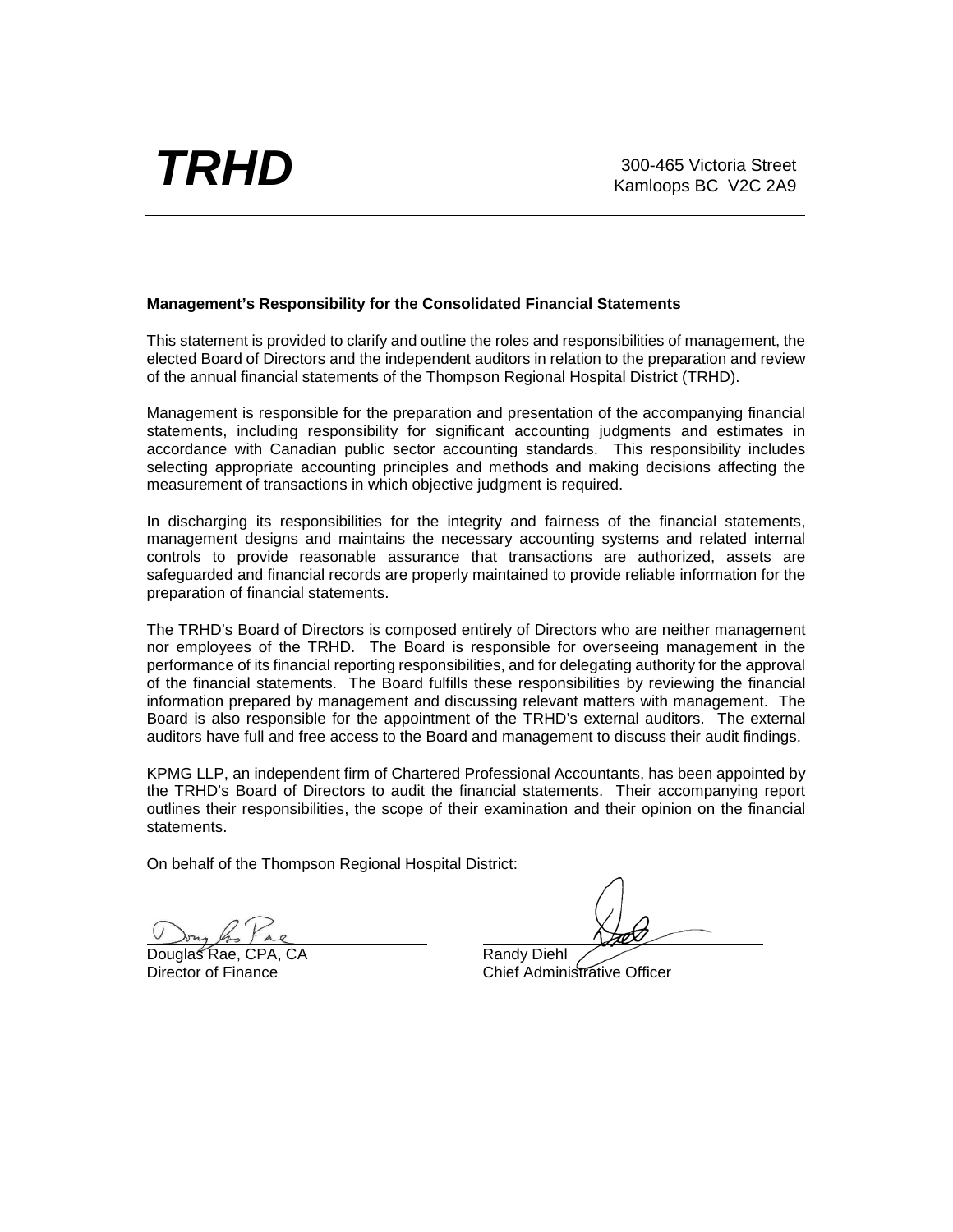#### **Management's Responsibility for the Consolidated Financial Statements**

This statement is provided to clarify and outline the roles and responsibilities of management, the elected Board of Directors and the independent auditors in relation to the preparation and review of the annual financial statements of the Thompson Regional Hospital District (TRHD).

Management is responsible for the preparation and presentation of the accompanying financial statements, including responsibility for significant accounting judgments and estimates in accordance with Canadian public sector accounting standards. This responsibility includes selecting appropriate accounting principles and methods and making decisions affecting the measurement of transactions in which objective judgment is required.

In discharging its responsibilities for the integrity and fairness of the financial statements, management designs and maintains the necessary accounting systems and related internal controls to provide reasonable assurance that transactions are authorized, assets are safeguarded and financial records are properly maintained to provide reliable information for the preparation of financial statements.

The TRHD's Board of Directors is composed entirely of Directors who are neither management nor employees of the TRHD. The Board is responsible for overseeing management in the performance of its financial reporting responsibilities, and for delegating authority for the approval of the financial statements. The Board fulfills these responsibilities by reviewing the financial information prepared by management and discussing relevant matters with management. The Board is also responsible for the appointment of the TRHD's external auditors. The external auditors have full and free access to the Board and management to discuss their audit findings.

KPMG LLP, an independent firm of Chartered Professional Accountants, has been appointed by the TRHD's Board of Directors to audit the financial statements. Their accompanying report outlines their responsibilities, the scope of their examination and their opinion on the financial statements.

On behalf of the Thompson Regional Hospital District:

Douglas Rae, CPA, CA Randy Diehl

Director of Finance Chief Administrative Officer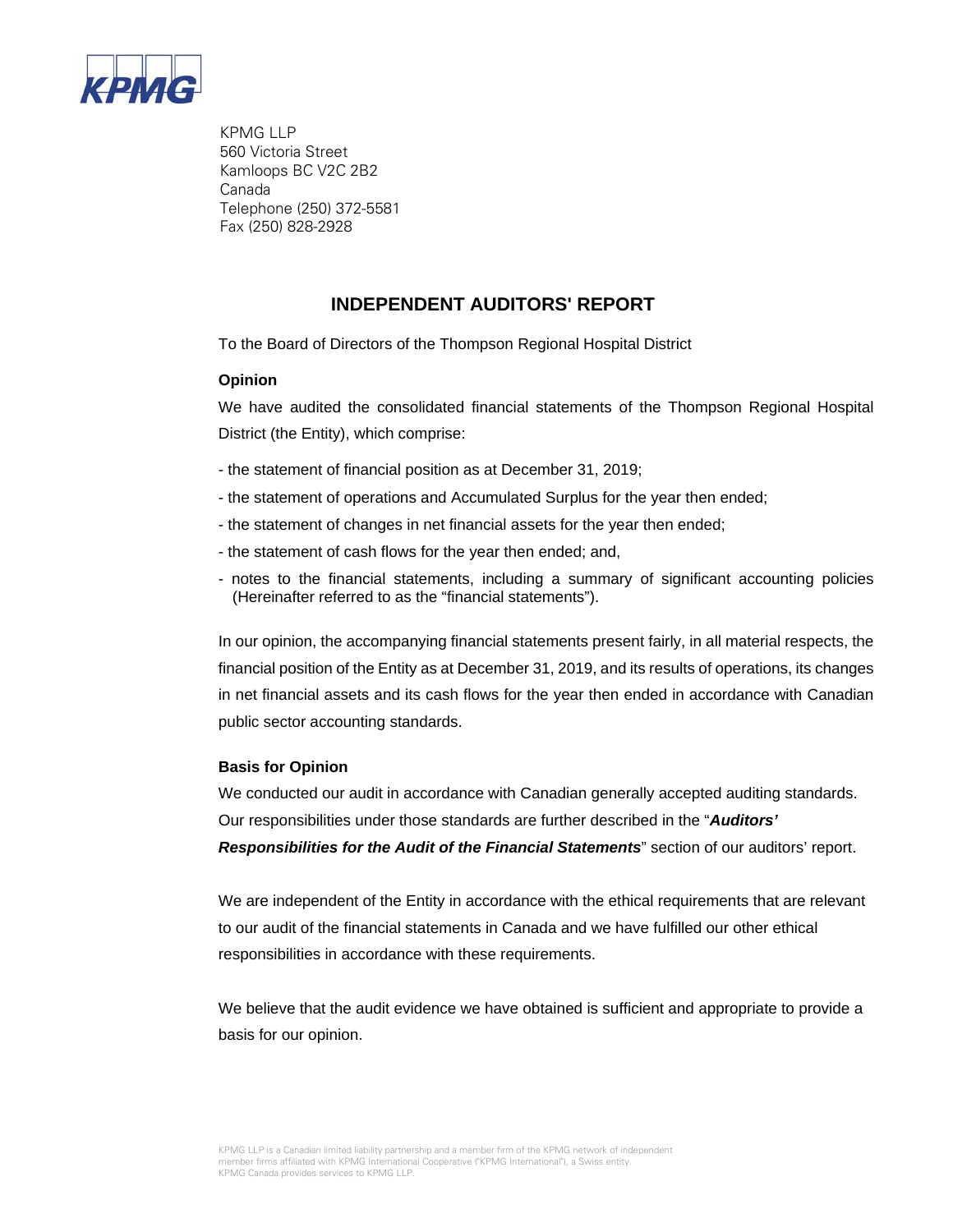

KPMG LLP 560 Victoria Street Kamloops BC V2C 2B2 Canada Telephone (250) 372-5581 Fax (250) 828-2928

# **INDEPENDENT AUDITORS' REPORT**

To the Board of Directors of the Thompson Regional Hospital District

#### **Opinion**

We have audited the consolidated financial statements of the Thompson Regional Hospital District (the Entity), which comprise:

- the statement of financial position as at December 31, 2019;
- the statement of operations and Accumulated Surplus for the year then ended;
- the statement of changes in net financial assets for the year then ended;
- the statement of cash flows for the year then ended; and,
- notes to the financial statements, including a summary of significant accounting policies (Hereinafter referred to as the "financial statements").

In our opinion, the accompanying financial statements present fairly, in all material respects, the financial position of the Entity as at December 31, 2019, and its results of operations, its changes in net financial assets and its cash flows for the year then ended in accordance with Canadian public sector accounting standards.

#### **Basis for Opinion**

We conducted our audit in accordance with Canadian generally accepted auditing standards. Our responsibilities under those standards are further described in the "*Auditors' Responsibilities for the Audit of the Financial Statements*" section of our auditors' report.

We are independent of the Entity in accordance with the ethical requirements that are relevant to our audit of the financial statements in Canada and we have fulfilled our other ethical responsibilities in accordance with these requirements.

We believe that the audit evidence we have obtained is sufficient and appropriate to provide a basis for our opinion.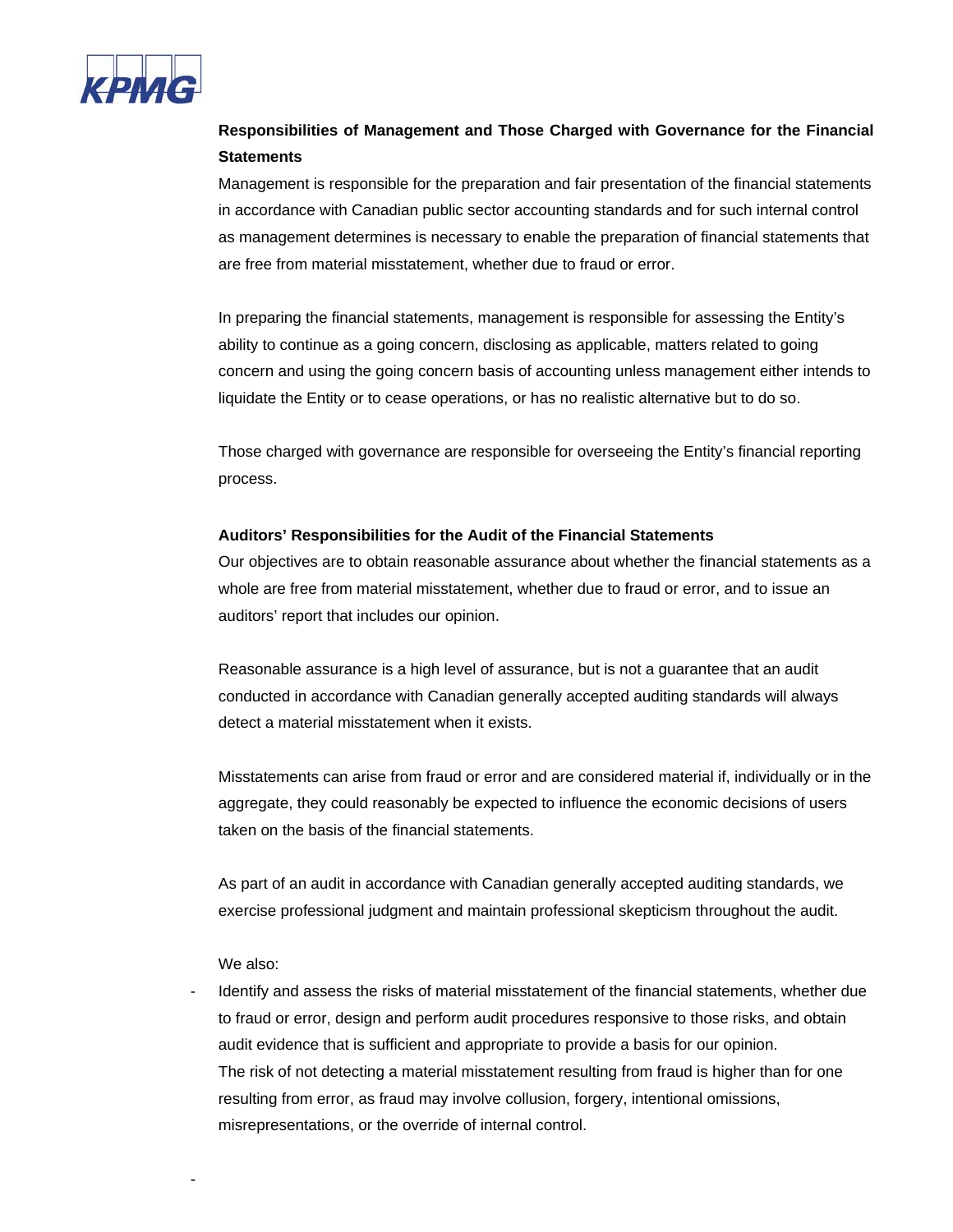

# **Responsibilities of Management and Those Charged with Governance for the Financial Statements**

Management is responsible for the preparation and fair presentation of the financial statements in accordance with Canadian public sector accounting standards and for such internal control as management determines is necessary to enable the preparation of financial statements that are free from material misstatement, whether due to fraud or error.

In preparing the financial statements, management is responsible for assessing the Entity's ability to continue as a going concern, disclosing as applicable, matters related to going concern and using the going concern basis of accounting unless management either intends to liquidate the Entity or to cease operations, or has no realistic alternative but to do so.

Those charged with governance are responsible for overseeing the Entity's financial reporting process.

#### **Auditors' Responsibilities for the Audit of the Financial Statements**

Our objectives are to obtain reasonable assurance about whether the financial statements as a whole are free from material misstatement, whether due to fraud or error, and to issue an auditors' report that includes our opinion.

Reasonable assurance is a high level of assurance, but is not a guarantee that an audit conducted in accordance with Canadian generally accepted auditing standards will always detect a material misstatement when it exists.

Misstatements can arise from fraud or error and are considered material if, individually or in the aggregate, they could reasonably be expected to influence the economic decisions of users taken on the basis of the financial statements.

As part of an audit in accordance with Canadian generally accepted auditing standards, we exercise professional judgment and maintain professional skepticism throughout the audit.

We also:

-

Identify and assess the risks of material misstatement of the financial statements, whether due to fraud or error, design and perform audit procedures responsive to those risks, and obtain audit evidence that is sufficient and appropriate to provide a basis for our opinion. The risk of not detecting a material misstatement resulting from fraud is higher than for one resulting from error, as fraud may involve collusion, forgery, intentional omissions, misrepresentations, or the override of internal control.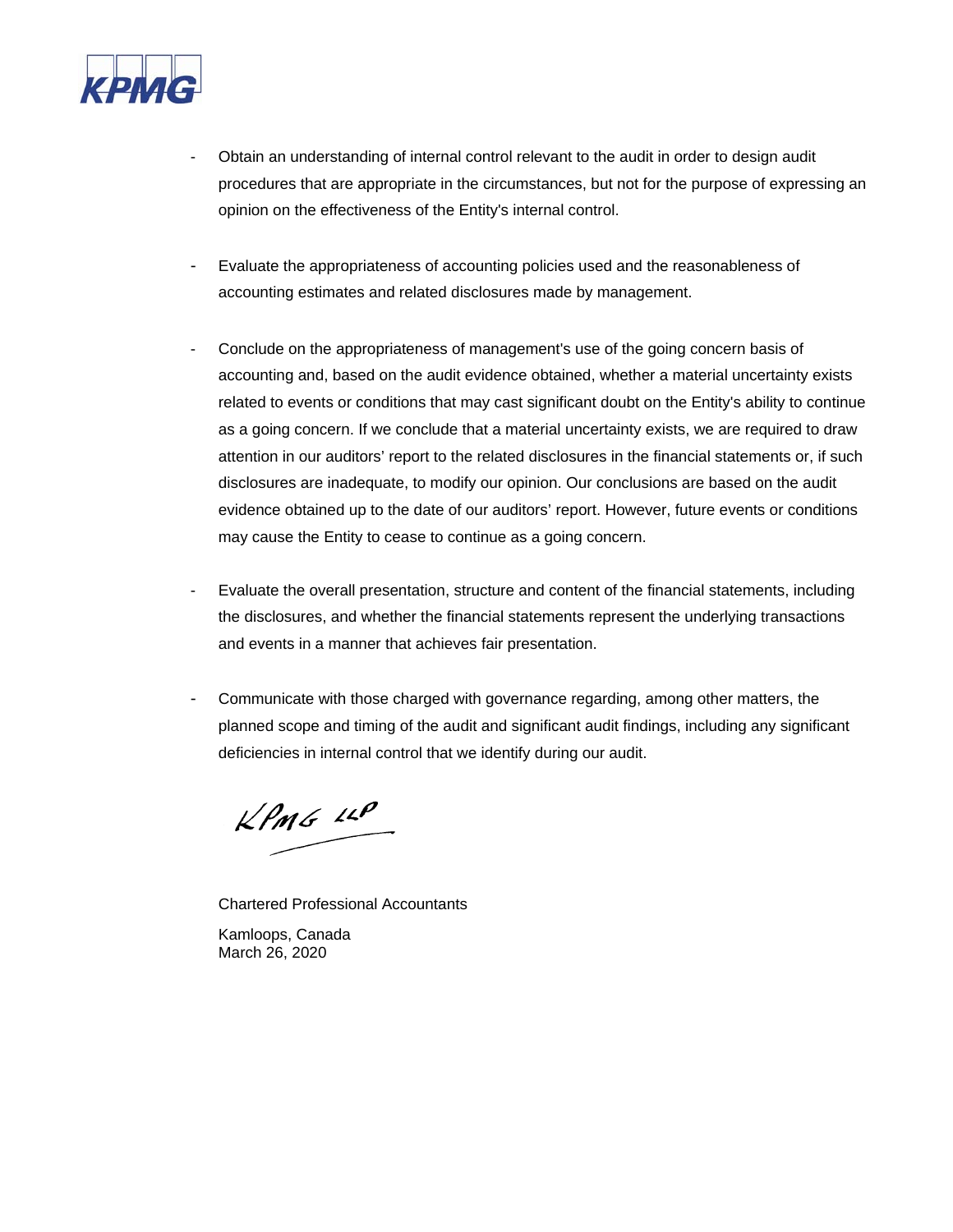

- Obtain an understanding of internal control relevant to the audit in order to design audit procedures that are appropriate in the circumstances, but not for the purpose of expressing an opinion on the effectiveness of the Entity's internal control.
- Evaluate the appropriateness of accounting policies used and the reasonableness of accounting estimates and related disclosures made by management.
- Conclude on the appropriateness of management's use of the going concern basis of accounting and, based on the audit evidence obtained, whether a material uncertainty exists related to events or conditions that may cast significant doubt on the Entity's ability to continue as a going concern. If we conclude that a material uncertainty exists, we are required to draw attention in our auditors' report to the related disclosures in the financial statements or, if such disclosures are inadequate, to modify our opinion. Our conclusions are based on the audit evidence obtained up to the date of our auditors' report. However, future events or conditions may cause the Entity to cease to continue as a going concern.
- Evaluate the overall presentation, structure and content of the financial statements, including the disclosures, and whether the financial statements represent the underlying transactions and events in a manner that achieves fair presentation.
- Communicate with those charged with governance regarding, among other matters, the planned scope and timing of the audit and significant audit findings, including any significant deficiencies in internal control that we identify during our audit.

 $kPMS$  14P

Chartered Professional Accountants

Kamloops, Canada March 26, 2020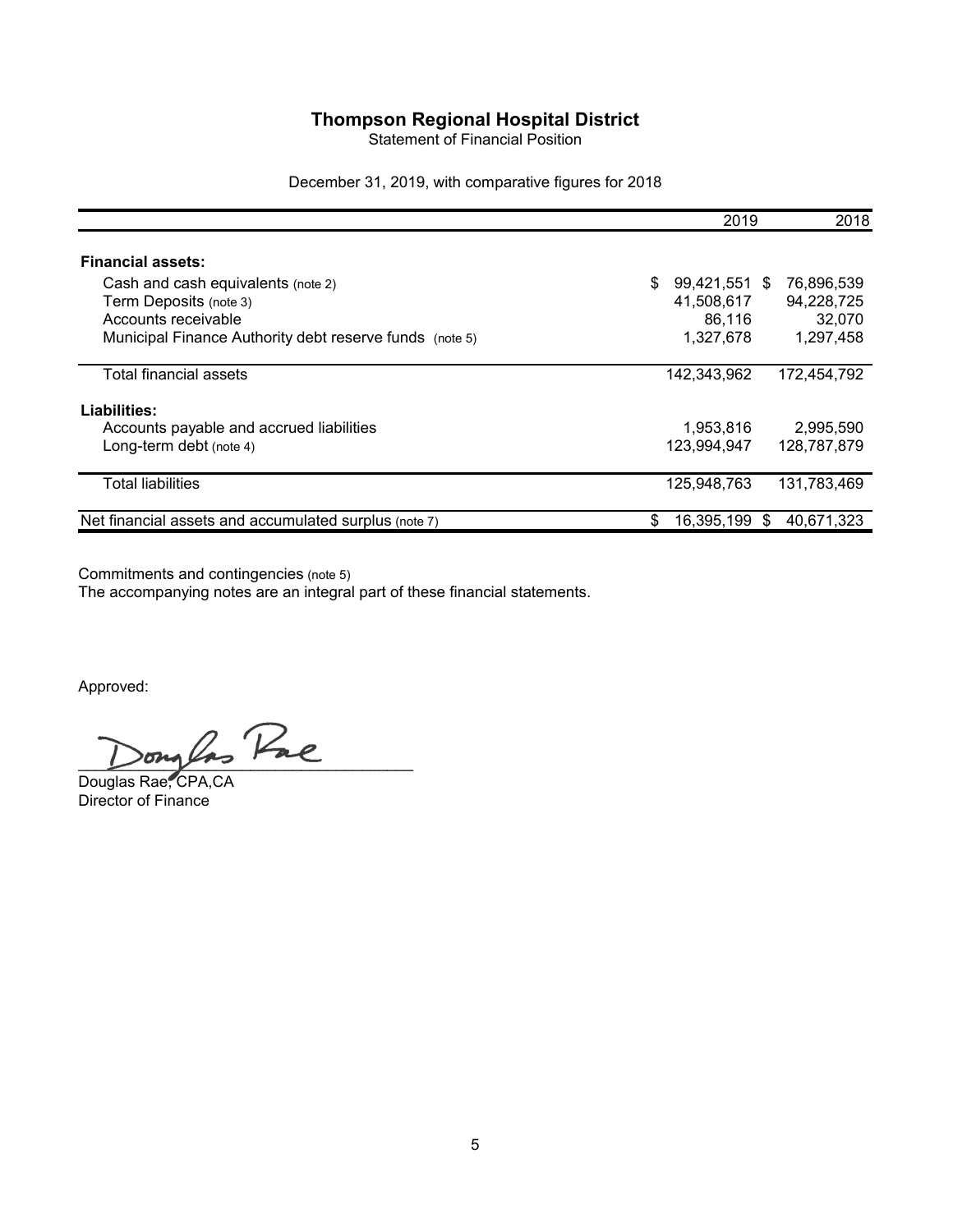Statement of Financial Position

# December 31, 2019, with comparative figures for 2018

|                                                                                                                                                |     | 2019                                               | 2018                                            |
|------------------------------------------------------------------------------------------------------------------------------------------------|-----|----------------------------------------------------|-------------------------------------------------|
| <b>Financial assets:</b>                                                                                                                       |     |                                                    |                                                 |
| Cash and cash equivalents (note 2)<br>Term Deposits (note 3)<br>Accounts receivable<br>Municipal Finance Authority debt reserve funds (note 5) |     | 99,421,551 \$<br>41,508,617<br>86,116<br>1,327,678 | 76.896.539<br>94,228,725<br>32,070<br>1,297,458 |
| Total financial assets                                                                                                                         |     | 142,343,962                                        | 172,454,792                                     |
| Liabilities:<br>Accounts payable and accrued liabilities<br>Long-term debt (note 4)                                                            |     | 1,953,816<br>123,994,947                           | 2,995,590<br>128,787,879                        |
| <b>Total liabilities</b>                                                                                                                       |     | 125,948,763                                        | 131,783,469                                     |
| Net financial assets and accumulated surplus (note 7)                                                                                          | \$. | 16,395,199                                         | 40,671,323<br>S.                                |

Commitments and contingencies (note 5)

The accompanying notes are an integral part of these financial statements.

Approved:

ong las Pae

Douglas Rae, CPA,CA Director of Finance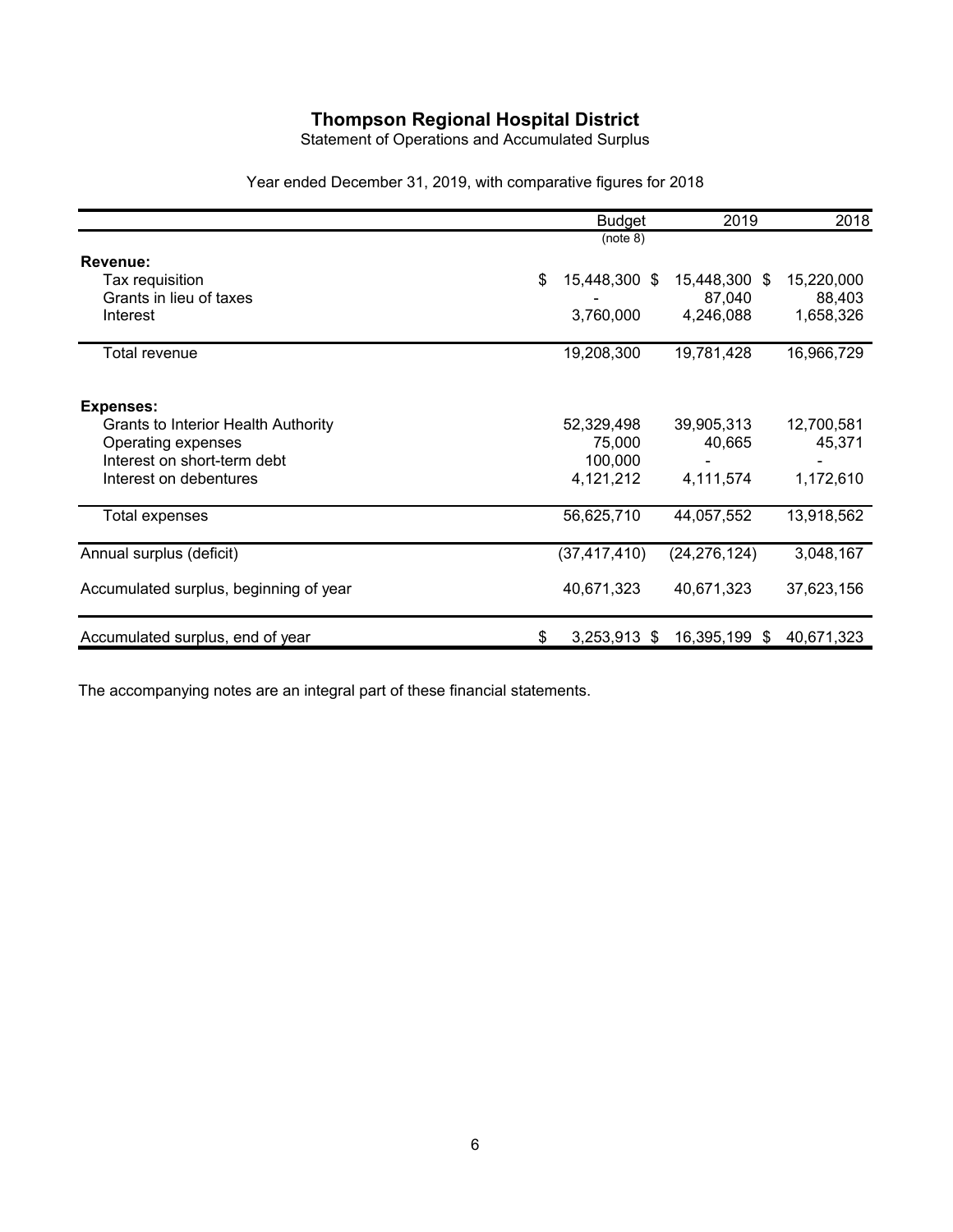Statement of Operations and Accumulated Surplus

|                                                       | <b>Budget</b>       | 2019             | 2018       |
|-------------------------------------------------------|---------------------|------------------|------------|
|                                                       | (note 8)            |                  |            |
| Revenue:                                              |                     |                  |            |
| Tax requisition                                       | \$<br>15,448,300 \$ | 15,448,300 \$    | 15,220,000 |
| Grants in lieu of taxes                               |                     | 87,040           | 88,403     |
| Interest                                              | 3,760,000           | 4,246,088        | 1,658,326  |
| Total revenue                                         | 19,208,300          | 19,781,428       | 16,966,729 |
| <b>Expenses:</b>                                      |                     |                  |            |
| <b>Grants to Interior Health Authority</b>            | 52,329,498          | 39,905,313       | 12,700,581 |
| Operating expenses                                    | 75,000              | 40,665           | 45,371     |
| Interest on short-term debt<br>Interest on debentures | 100,000             |                  |            |
|                                                       | 4,121,212           | 4,111,574        | 1,172,610  |
| Total expenses                                        | 56,625,710          | 44,057,552       | 13,918,562 |
| Annual surplus (deficit)                              | (37, 417, 410)      | (24, 276, 124)   | 3,048,167  |
| Accumulated surplus, beginning of year                | 40,671,323          | 40,671,323       | 37,623,156 |
| Accumulated surplus, end of year                      | \$<br>3,253,913 \$  | 16,395,199<br>\$ | 40,671,323 |

# Year ended December 31, 2019, with comparative figures for 2018

The accompanying notes are an integral part of these financial statements.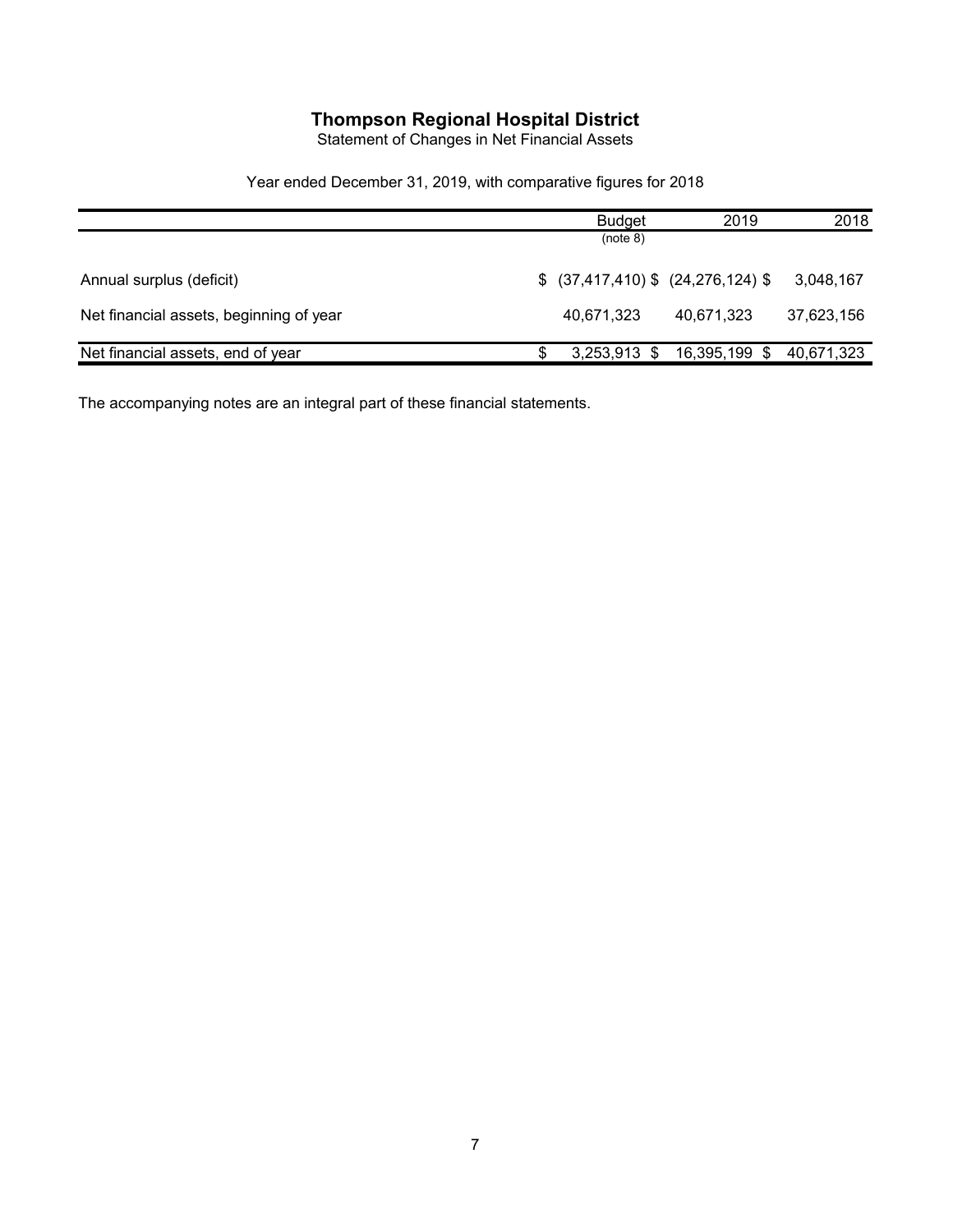Statement of Changes in Net Financial Assets

# Year ended December 31, 2019, with comparative figures for 2018

|                                         | <b>Budget</b>  | 2019                                  | 2018       |
|-----------------------------------------|----------------|---------------------------------------|------------|
|                                         | (note 8)       |                                       |            |
| Annual surplus (deficit)                |                | $$$ (37,417,410) $$$ (24,276,124) $$$ | 3,048,167  |
| Net financial assets, beginning of year | 40,671,323     | 40.671.323                            | 37,623,156 |
| Net financial assets, end of year       | $3,253,913$ \$ | 16,395,199 \$ 40,671,323              |            |

The accompanying notes are an integral part of these financial statements.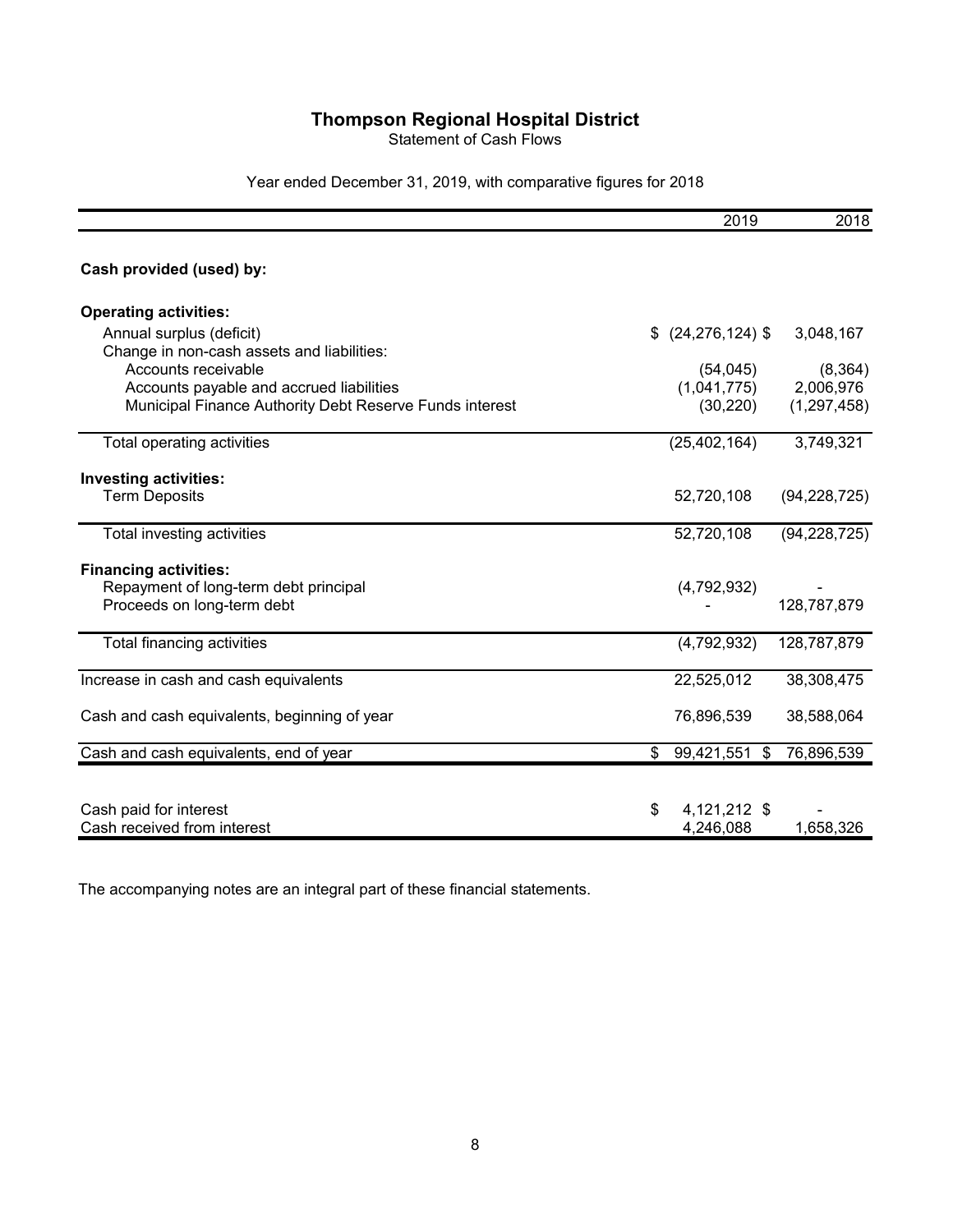Statement of Cash Flows

|  | Year ended December 31, 2019, with comparative figures for 2018 |
|--|-----------------------------------------------------------------|
|  |                                                                 |

|                                                                        | 2019                      | 2018           |
|------------------------------------------------------------------------|---------------------------|----------------|
| Cash provided (used) by:                                               |                           |                |
| <b>Operating activities:</b>                                           |                           |                |
| Annual surplus (deficit)<br>Change in non-cash assets and liabilities: | \$<br>$(24, 276, 124)$ \$ | 3,048,167      |
| Accounts receivable                                                    | (54, 045)                 | (8, 364)       |
| Accounts payable and accrued liabilities                               | (1,041,775)               | 2,006,976      |
| Municipal Finance Authority Debt Reserve Funds interest                | (30, 220)                 | (1, 297, 458)  |
| Total operating activities                                             | (25, 402, 164)            | 3,749,321      |
| <b>Investing activities:</b>                                           |                           |                |
| <b>Term Deposits</b>                                                   | 52,720,108                | (94, 228, 725) |
| Total investing activities                                             | 52,720,108                | (94, 228, 725) |
| <b>Financing activities:</b>                                           |                           |                |
| Repayment of long-term debt principal                                  | (4,792,932)               |                |
| Proceeds on long-term debt                                             |                           | 128,787,879    |
| Total financing activities                                             | (4,792,932)               | 128,787,879    |
| Increase in cash and cash equivalents                                  | 22,525,012                | 38,308,475     |
| Cash and cash equivalents, beginning of year                           | 76,896,539                | 38,588,064     |
| Cash and cash equivalents, end of year                                 | \$<br>99,421,551 \$       | 76,896,539     |
|                                                                        |                           |                |
| Cash paid for interest                                                 | \$<br>4,121,212 \$        |                |
| Cash received from interest                                            | 4,246,088                 | 1,658,326      |

The accompanying notes are an integral part of these financial statements.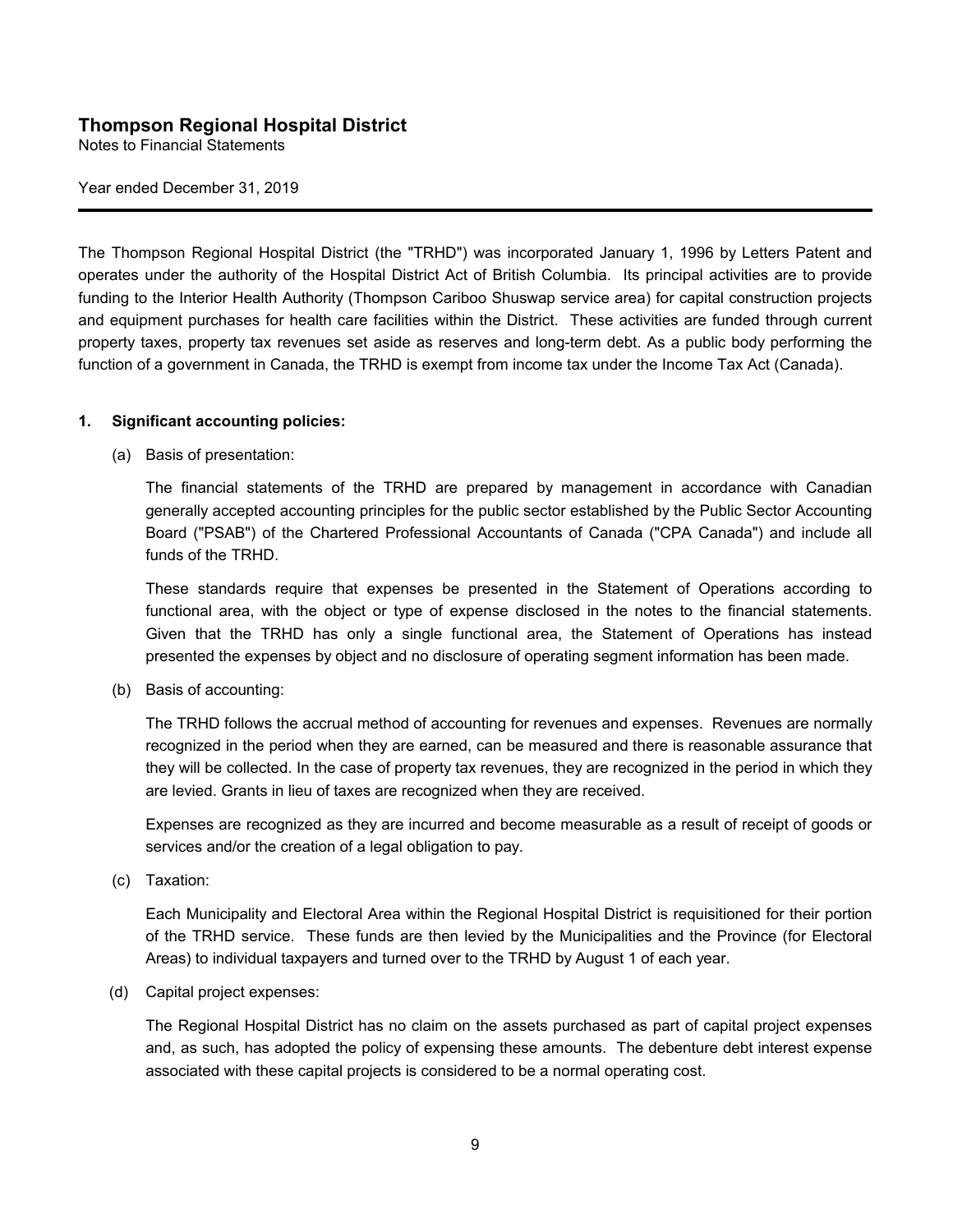Notes to Financial Statements

#### Year ended December 31, 2019

The Thompson Regional Hospital District (the "TRHD") was incorporated January 1, 1996 by Letters Patent and operates under the authority of the Hospital District Act of British Columbia. Its principal activities are to provide funding to the Interior Health Authority (Thompson Cariboo Shuswap service area) for capital construction projects and equipment purchases for health care facilities within the District. These activities are funded through current property taxes, property tax revenues set aside as reserves and long-term debt. As a public body performing the function of a government in Canada, the TRHD is exempt from income tax under the Income Tax Act (Canada).

#### **1. Significant accounting policies:**

(a) Basis of presentation:

The financial statements of the TRHD are prepared by management in accordance with Canadian generally accepted accounting principles for the public sector established by the Public Sector Accounting Board ("PSAB") of the Chartered Professional Accountants of Canada ("CPA Canada") and include all funds of the TRHD.

These standards require that expenses be presented in the Statement of Operations according to functional area, with the object or type of expense disclosed in the notes to the financial statements. Given that the TRHD has only a single functional area, the Statement of Operations has instead presented the expenses by object and no disclosure of operating segment information has been made.

(b) Basis of accounting:

The TRHD follows the accrual method of accounting for revenues and expenses. Revenues are normally recognized in the period when they are earned, can be measured and there is reasonable assurance that they will be collected. In the case of property tax revenues, they are recognized in the period in which they are levied. Grants in lieu of taxes are recognized when they are received.

Expenses are recognized as they are incurred and become measurable as a result of receipt of goods or services and/or the creation of a legal obligation to pay.

(c) Taxation:

Each Municipality and Electoral Area within the Regional Hospital District is requisitioned for their portion of the TRHD service. These funds are then levied by the Municipalities and the Province (for Electoral Areas) to individual taxpayers and turned over to the TRHD by August 1 of each year.

(d) Capital project expenses:

The Regional Hospital District has no claim on the assets purchased as part of capital project expenses and, as such, has adopted the policy of expensing these amounts. The debenture debt interest expense associated with these capital projects is considered to be a normal operating cost.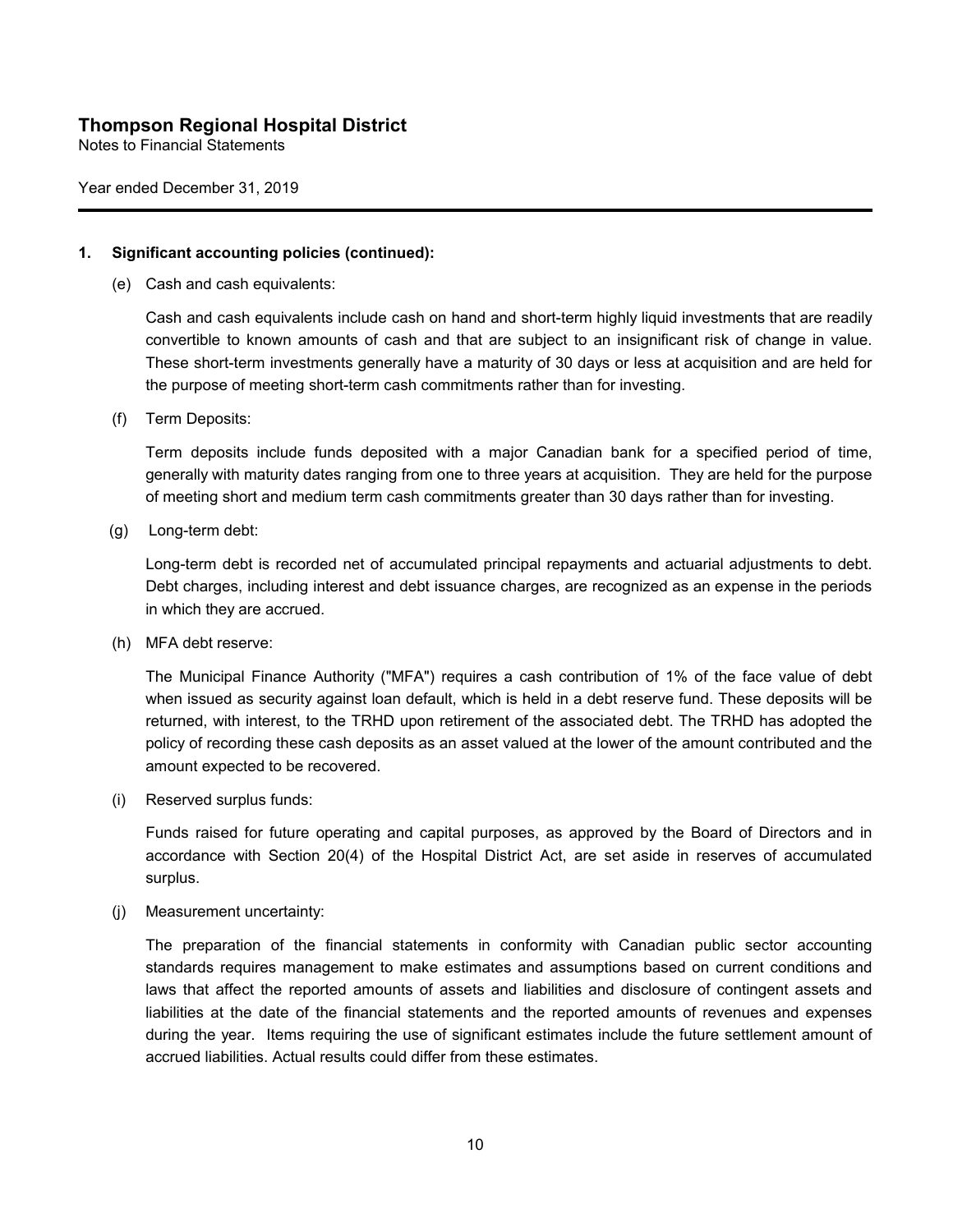Notes to Financial Statements

Year ended December 31, 2019

#### **1. Significant accounting policies (continued):**

(e) Cash and cash equivalents:

Cash and cash equivalents include cash on hand and short-term highly liquid investments that are readily convertible to known amounts of cash and that are subject to an insignificant risk of change in value. These short-term investments generally have a maturity of 30 days or less at acquisition and are held for the purpose of meeting short-term cash commitments rather than for investing.

(f) Term Deposits:

Term deposits include funds deposited with a major Canadian bank for a specified period of time, generally with maturity dates ranging from one to three years at acquisition. They are held for the purpose of meeting short and medium term cash commitments greater than 30 days rather than for investing.

(g) Long-term debt:

Long-term debt is recorded net of accumulated principal repayments and actuarial adjustments to debt. Debt charges, including interest and debt issuance charges, are recognized as an expense in the periods in which they are accrued.

(h) MFA debt reserve:

The Municipal Finance Authority ("MFA") requires a cash contribution of 1% of the face value of debt when issued as security against loan default, which is held in a debt reserve fund. These deposits will be returned, with interest, to the TRHD upon retirement of the associated debt. The TRHD has adopted the policy of recording these cash deposits as an asset valued at the lower of the amount contributed and the amount expected to be recovered.

(i) Reserved surplus funds:

Funds raised for future operating and capital purposes, as approved by the Board of Directors and in accordance with Section 20(4) of the Hospital District Act, are set aside in reserves of accumulated surplus.

(j) Measurement uncertainty:

The preparation of the financial statements in conformity with Canadian public sector accounting standards requires management to make estimates and assumptions based on current conditions and laws that affect the reported amounts of assets and liabilities and disclosure of contingent assets and liabilities at the date of the financial statements and the reported amounts of revenues and expenses during the year. Items requiring the use of significant estimates include the future settlement amount of accrued liabilities. Actual results could differ from these estimates.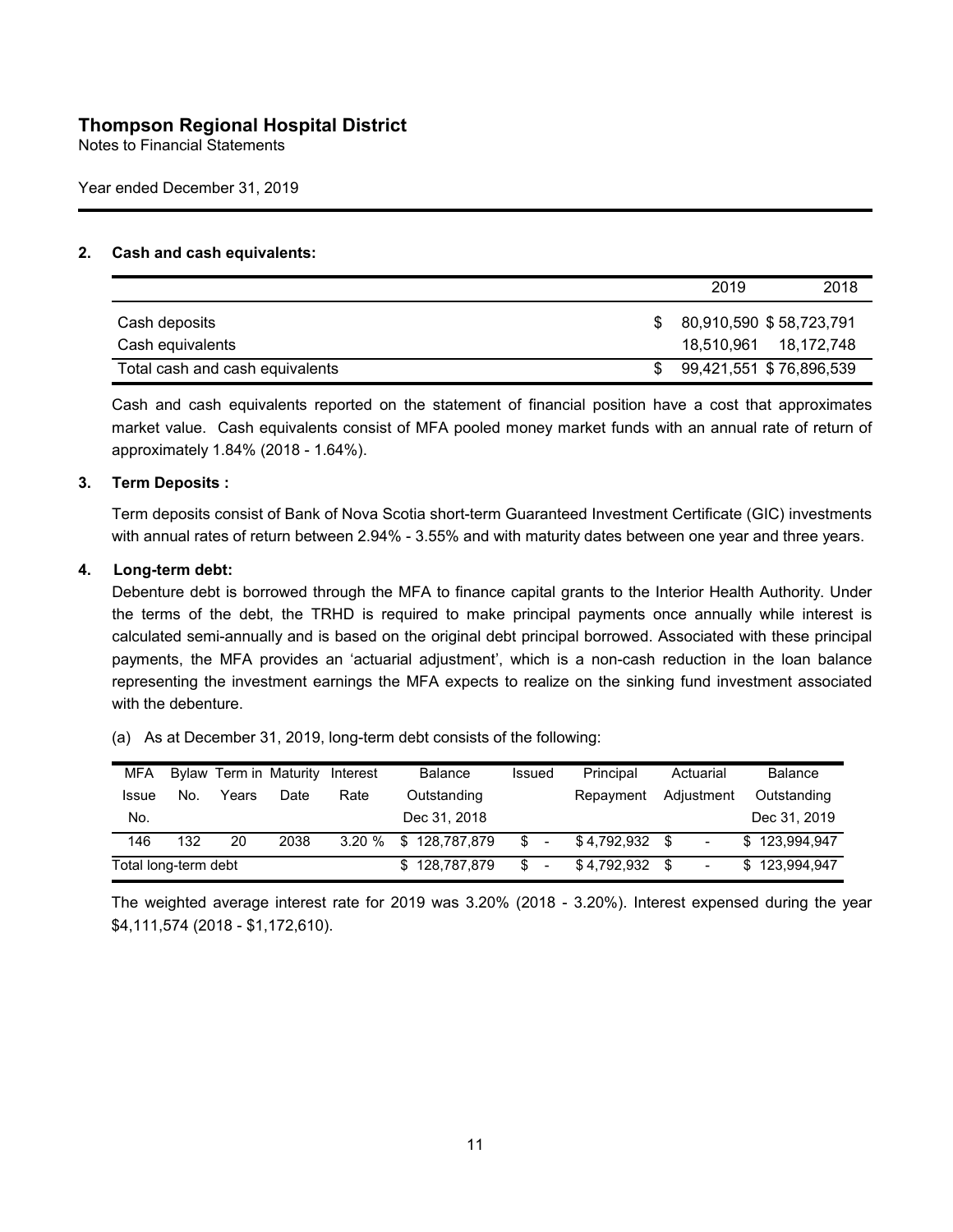Notes to Financial Statements

Year ended December 31, 2019

#### **2. Cash and cash equivalents:**

|                                   | 2019                                                | 2018 |
|-----------------------------------|-----------------------------------------------------|------|
| Cash deposits<br>Cash equivalents | \$80,910,590 \$58,723,791<br>18.510.961  18.172.748 |      |
| Total cash and cash equivalents   | 99,421,551 \$76,896,539                             |      |

Cash and cash equivalents reported on the statement of financial position have a cost that approximates market value. Cash equivalents consist of MFA pooled money market funds with an annual rate of return of approximately 1.84% (2018 - 1.64%).

#### **3. Term Deposits :**

Term deposits consist of Bank of Nova Scotia short-term Guaranteed Investment Certificate (GIC) investments with annual rates of return between 2.94% - 3.55% and with maturity dates between one year and three years.

#### **4. Long-term debt:**

Debenture debt is borrowed through the MFA to finance capital grants to the Interior Health Authority. Under the terms of the debt, the TRHD is required to make principal payments once annually while interest is calculated semi-annually and is based on the original debt principal borrowed. Associated with these principal payments, the MFA provides an 'actuarial adjustment', which is a non-cash reduction in the loan balance representing the investment earnings the MFA expects to realize on the sinking fund investment associated with the debenture.

(a) As at December 31, 2019, long-term debt consists of the following:

| <b>MFA</b>           |     |       | <b>Bylaw Term in Maturity</b> | Interest | <b>Balance</b> | Issued | Principal   | Actuarial                        | <b>Balance</b> |
|----------------------|-----|-------|-------------------------------|----------|----------------|--------|-------------|----------------------------------|----------------|
| Issue                | No. | Years | Date                          | Rate     | Outstanding    |        | Repayment   | Adiustment                       | Outstanding    |
| No.                  |     |       |                               |          | Dec 31, 2018   |        |             |                                  | Dec 31, 2019   |
| 146                  | 132 | 20    | 2038                          | 3.20%    | \$128,787,879  | \$–    | \$4.792.932 | _ፍ<br>$\overline{\phantom{a}}$   | \$123,994,947  |
| Total long-term debt |     |       |                               |          | \$128,787,879  | $s -$  | \$4.792.932 | - \$<br>$\overline{\phantom{a}}$ | \$123.994.947  |

The weighted average interest rate for 2019 was 3.20% (2018 - 3.20%). Interest expensed during the year \$4,111,574 (2018 - \$1,172,610).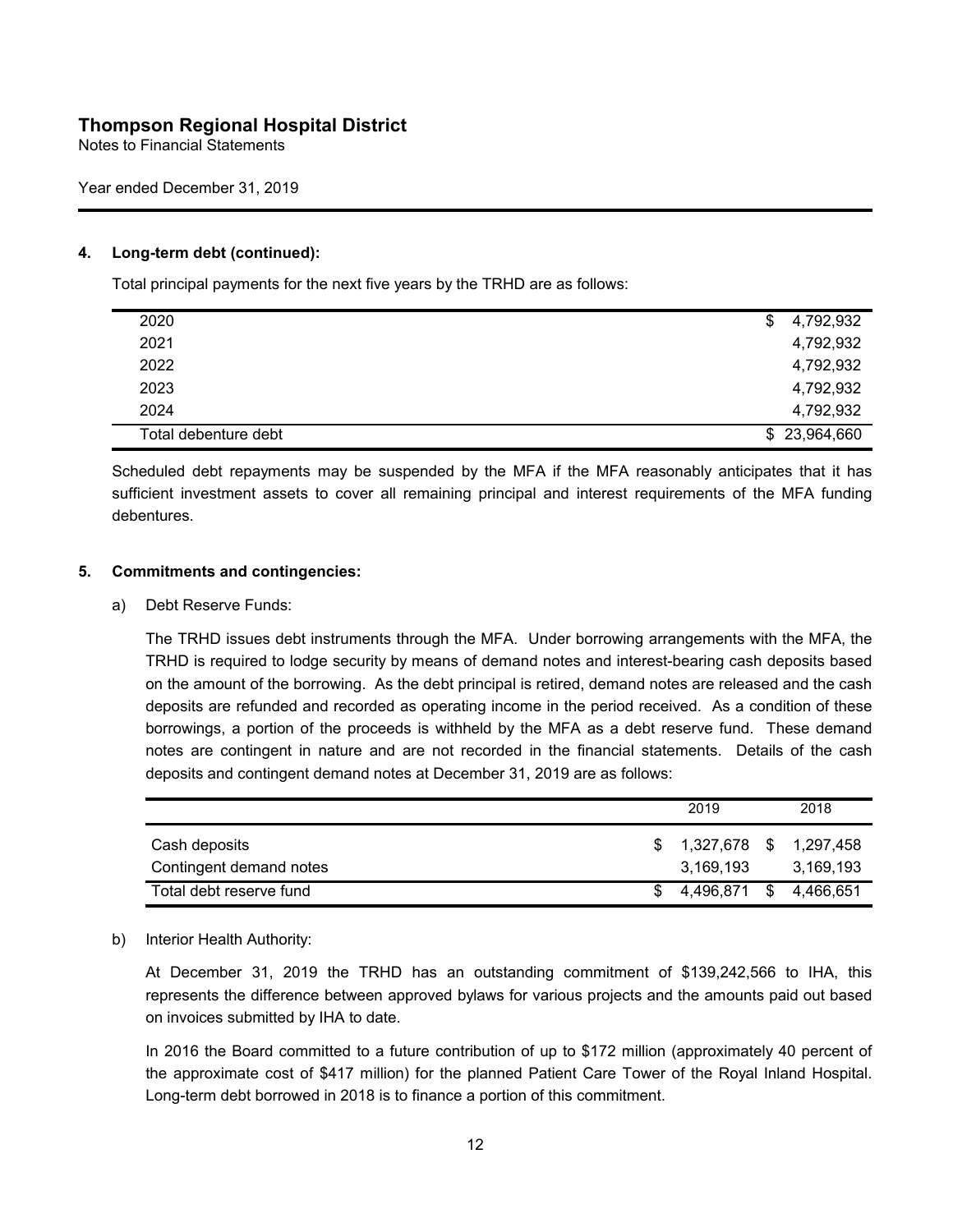Notes to Financial Statements

Year ended December 31, 2019

#### **4. Long-term debt (continued):**

Total principal payments for the next five years by the TRHD are as follows:

| 2020                 | S | 4,792,932    |
|----------------------|---|--------------|
| 2021                 |   | 4,792,932    |
| 2022                 |   | 4,792,932    |
| 2023                 |   | 4,792,932    |
| 2024                 |   | 4,792,932    |
| Total debenture debt |   | \$23,964,660 |
|                      |   |              |

Scheduled debt repayments may be suspended by the MFA if the MFA reasonably anticipates that it has sufficient investment assets to cover all remaining principal and interest requirements of the MFA funding debentures.

#### **5. Commitments and contingencies:**

a) Debt Reserve Funds:

The TRHD issues debt instruments through the MFA. Under borrowing arrangements with the MFA, the TRHD is required to lodge security by means of demand notes and interest-bearing cash deposits based on the amount of the borrowing. As the debt principal is retired, demand notes are released and the cash deposits are refunded and recorded as operating income in the period received. As a condition of these borrowings, a portion of the proceeds is withheld by the MFA as a debt reserve fund. These demand notes are contingent in nature and are not recorded in the financial statements. Details of the cash deposits and contingent demand notes at December 31, 2019 are as follows:

|                         | 2019         |      | 2018      |
|-------------------------|--------------|------|-----------|
| Cash deposits           | 1,327,678 \$ |      | 1.297.458 |
| Contingent demand notes | 3,169,193    |      | 3,169,193 |
| Total debt reserve fund | 4,496,871    | - \$ | 4.466.651 |

b) Interior Health Authority:

At December 31, 2019 the TRHD has an outstanding commitment of \$139,242,566 to IHA, this represents the difference between approved bylaws for various projects and the amounts paid out based on invoices submitted by IHA to date.

In 2016 the Board committed to a future contribution of up to \$172 million (approximately 40 percent of the approximate cost of \$417 million) for the planned Patient Care Tower of the Royal Inland Hospital. Long-term debt borrowed in 2018 is to finance a portion of this commitment.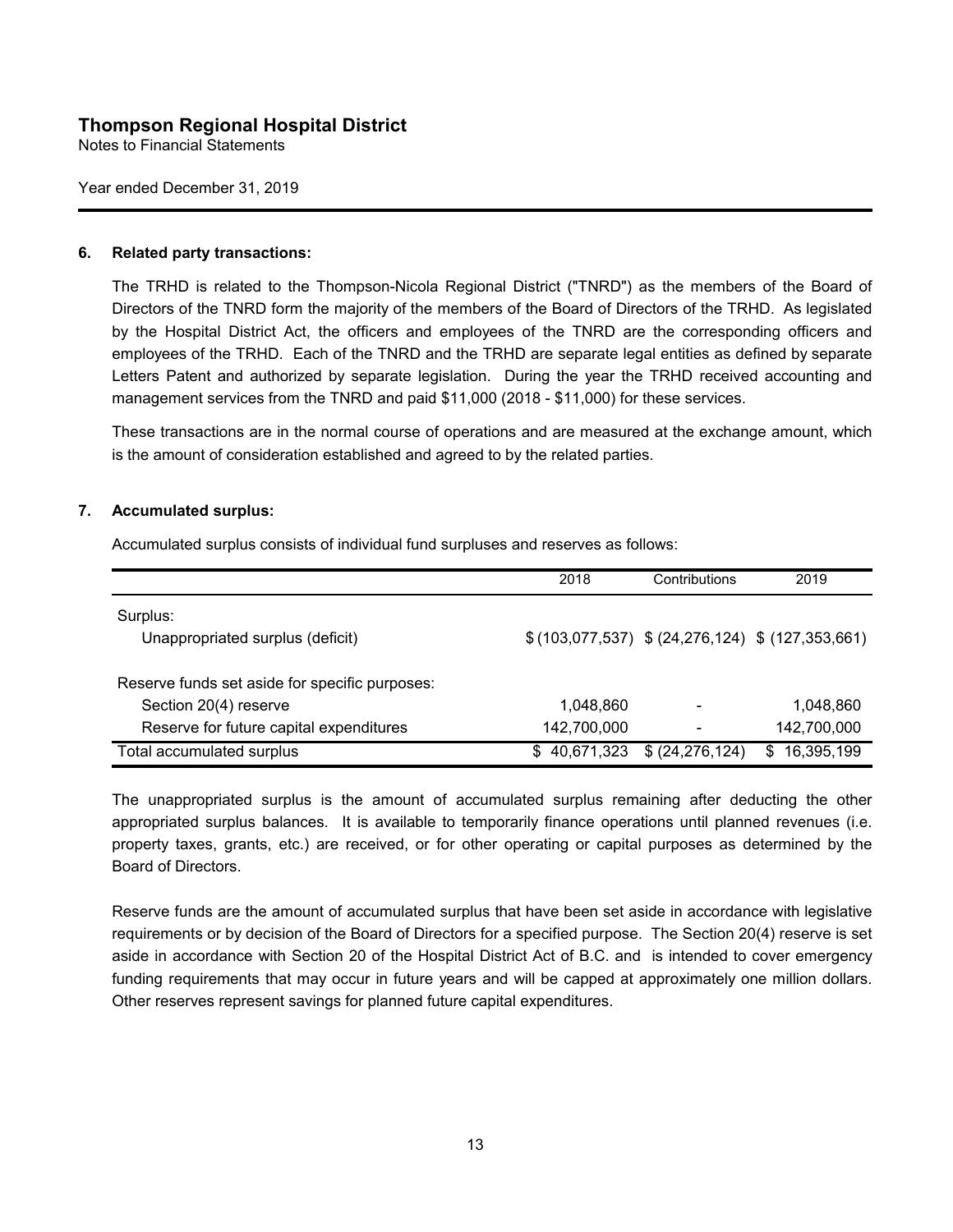Notes to Financial Statements

Year ended December 31, 2019

#### **6. Related party transactions:**

The TRHD is related to the Thompson-Nicola Regional District ("TNRD") as the members of the Board of Directors of the TNRD form the majority of the members of the Board of Directors of the TRHD. As legislated by the Hospital District Act, the officers and employees of the TNRD are the corresponding officers and employees of the TRHD. Each of the TNRD and the TRHD are separate legal entities as defined by separate Letters Patent and authorized by separate legislation. During the year the TRHD received accounting and management services from the TNRD and paid \$11,000 (2018 - \$11,000) for these services.

These transactions are in the normal course of operations and are measured at the exchange amount, which is the amount of consideration established and agreed to by the related parties.

#### **7. Accumulated surplus:**

Accumulated surplus consists of individual fund surpluses and reserves as follows:

|                                                | 2018         | Contributions     | 2019                                              |
|------------------------------------------------|--------------|-------------------|---------------------------------------------------|
| Surplus:<br>Unappropriated surplus (deficit)   |              |                   | $$(103,077,537)$ $$(24,276,124)$ $$(127,353,661)$ |
| Reserve funds set aside for specific purposes: |              |                   |                                                   |
| Section 20(4) reserve                          | 1,048,860    |                   | 1,048,860                                         |
| Reserve for future capital expenditures        | 142,700,000  |                   | 142,700,000                                       |
| Total accumulated surplus                      | \$40,671,323 | \$ (24, 276, 124) | 16,395,199<br>\$.                                 |

The unappropriated surplus is the amount of accumulated surplus remaining after deducting the other appropriated surplus balances. It is available to temporarily finance operations until planned revenues (i.e. property taxes, grants, etc.) are received, or for other operating or capital purposes as determined by the Board of Directors.

Reserve funds are the amount of accumulated surplus that have been set aside in accordance with legislative requirements or by decision of the Board of Directors for a specified purpose. The Section 20(4) reserve is set aside in accordance with Section 20 of the Hospital District Act of B.C. and is intended to cover emergency funding requirements that may occur in future years and will be capped at approximately one million dollars. Other reserves represent savings for planned future capital expenditures.